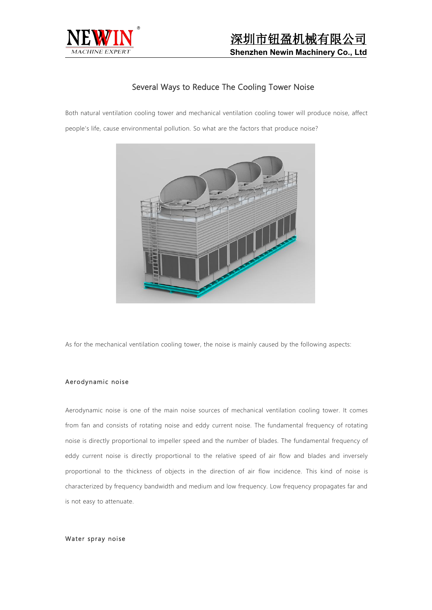

# Several Ways to Reduce The Cooling Tower Noise

Both natural ventilation cooling tower and mechanical ventilation cooling tower will produce noise, affect people's life, cause environmental pollution. So what are the factors that produce noise?



As for the mechanical ventilation cooling tower, the noise is mainly caused by the following aspects:

## Aerodynamic noise

Aerodynamic noise is one of the main noise sources of mechanical ventilation cooling tower. It comes from fan and consists of rotating noise and eddy current noise. The fundamental frequency of rotating noise is directly proportional to impeller speed and the number of blades. The fundamental frequency of eddy current noise is directly proportional to the relative speed of air flow and blades and inversely proportional to the thickness of objects in the direction of air flow incidence. This kind of noise is characterized by frequency bandwidth and medium and low frequency. Low frequency propagates far and is not easy to attenuate.

#### Water spray noise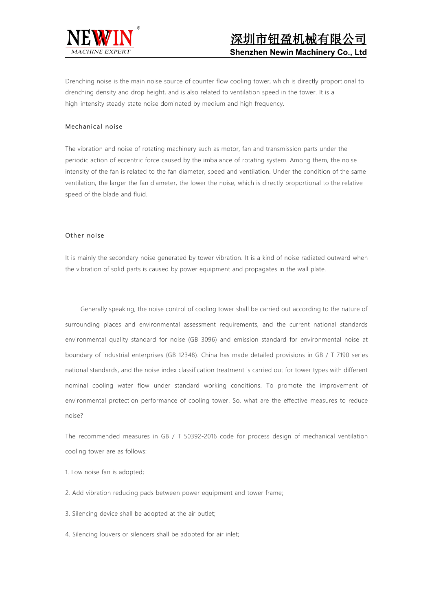

Drenching noise is the main noise source of counter flow cooling tower, which is directly proportional to drenching density and drop height, and is also related to ventilation speed in the tower. It is a high-intensity steady-state noise dominated by medium and high frequency.

### Mechanical noise

The vibration and noise of rotating machinery such as motor, fan and transmission parts under the periodic action of eccentric force caused by the imbalance of rotating system. Among them, the noise intensity of the fan is related to the fan diameter, speed and ventilation. Under the condition of the same ventilation, the larger the fan diameter, the lower the noise, which is directly proportional to the relative speed of the blade and fluid.

# Other noise

It is mainly the secondary noise generated by tower vibration. It is a kind of noise radiated outward when the vibration of solid parts is caused by power equipment and propagates in the wall plate.

Generally speaking, the noise control of cooling tower shall be carried out according to the nature of surrounding places and environmental assessment requirements, and the current national standards environmental quality standard for noise (GB 3096) and emission standard for environmental noise at boundary of industrial enterprises (GB 12348). China has made detailed provisions in GB / T 7190 series national standards, and the noise index classification treatment is carried out for tower types with different nominal cooling water flow under standard working conditions. To promote the improvement of environmental protection performance of cooling tower. So, what are the effective measures to reduce noise?

The recommended measures in GB / T 50392-2016 code for process design of mechanical ventilation cooling tower are as follows:

1. Low noise fan is adopted;

- 2. Add vibration reducing pads between power equipment and tower frame;
- 3. Silencing device shall be adopted at the air outlet;

4. Silencing louvers or silencers shall be adopted for air inlet;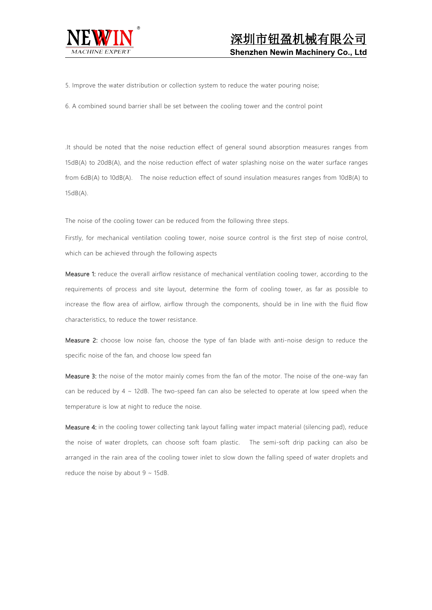

5. Improve the water distribution or collection system to reduce the water pouring noise;

6. A combined sound barrier shall be set between the cooling tower and the control point

.It should be noted that the noise reduction effect of general sound absorption measures ranges from 15dB(A) to 20dB(A), and the noise reduction effect of water splashing noise on the water surface ranges from 6dB(A) to 10dB(A). The noise reduction effect of sound insulation measures ranges from 10dB(A) to 15dB(A).

The noise of the cooling tower can be reduced from the following three steps.

Firstly, for mechanical ventilation cooling tower, noise source control is the first step of noise control, which can be achieved through the following aspects

Measure 1: reduce the overall airflow resistance of mechanical ventilation cooling tower, according to the requirements of process and site layout, determine the form of cooling tower, as far as possible to increase the flow area of airflow, airflow through the components, should be in line with the fluid flow characteristics, to reduce the tower resistance.

Measure 2: choose low noise fan, choose the type of fan blade with anti-noise design to reduce the specific noise of the fan, and choose low speed fan

Measure 3: the noise of the motor mainly comes from the fan of the motor. The noise of the one-way fan can be reduced by 4 ~ 12dB. The two-speed fan can also be selected to operate at low speed when the temperature is low at night to reduce the noise.

Measure 4: in the cooling tower collecting tank layout falling water impact material (silencing pad), reduce the noise of water droplets, can choose soft foam plastic. The semi-soft drip packing can also be arranged in the rain area of the cooling tower inlet to slow downthe falling speed of water droplets and reduce the noise by about  $9 \sim 15$ dB.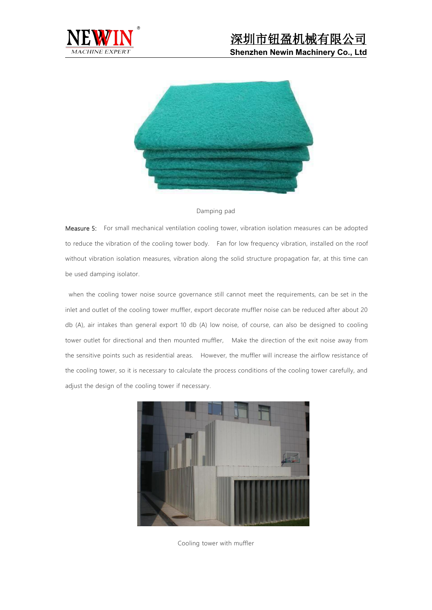



#### Damping pad

Measure 5: For small mechanical ventilation cooling tower, vibration isolation measures can be adopted to reduce the vibration of the cooling tower body. Fan for low frequency vibration, installed on the roof without vibration isolation measures, vibration along the solid structure propagation far, at this time can be used damping isolator.

when the cooling tower noise source governance still cannot meet the requirements, can be set in the inlet and outlet of the cooling tower muffler, export decorate muffler noise can be reduced after about 20 db (A), air intakes than general export 10 db (A) low noise, of course, can also be designed to cooling tower outlet for directional and then mounted muffler, Make the direction of the exit noise away from the sensitive points such as residential areas. However, the muffler will increase the airflow resistance of the cooling tower, so it is necessary to calculate the process conditions of the cooling tower carefully, and adjust the design of the cooling tower if necessary.



Cooling tower with muffler